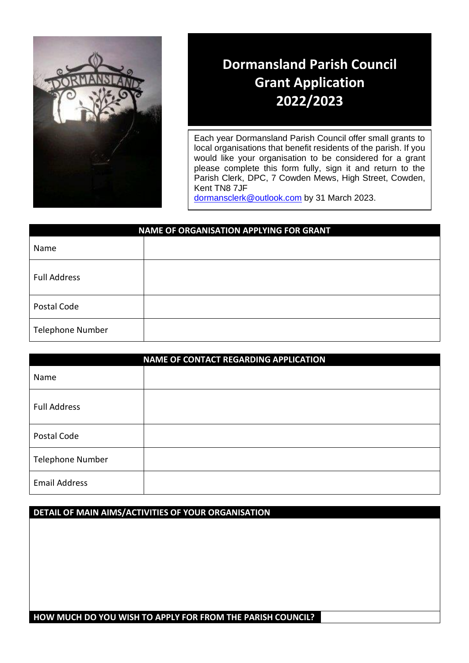

# **Dormansland Parish Council Grant Application 2022/2023**

Each year Dormansland Parish Council offer small grants to local organisations that benefit residents of the parish. If you would like your organisation to be considered for a grant please complete this form fully, sign it and return to the Parish Clerk, DPC, 7 Cowden Mews, High Street, Cowden, Kent TN8 7JF

[dormansclerk@outlook.com](mailto:dormansclerk@outlook.com) by 31 March 2023.

| <b>NAME OF ORGANISATION APPLYING FOR GRANT</b> |  |  |
|------------------------------------------------|--|--|
| Name                                           |  |  |
| <b>Full Address</b>                            |  |  |
| Postal Code                                    |  |  |
| Telephone Number                               |  |  |

| <b>NAME OF CONTACT REGARDING APPLICATION</b> |  |  |
|----------------------------------------------|--|--|
| Name                                         |  |  |
| <b>Full Address</b>                          |  |  |
| Postal Code                                  |  |  |
| Telephone Number                             |  |  |
| <b>Email Address</b>                         |  |  |

## **DETAIL OF MAIN AIMS/ACTIVITIES OF YOUR ORGANISATION**

**HOW MUCH DO YOU WISH TO APPLY FOR FROM THE PARISH COUNCIL?**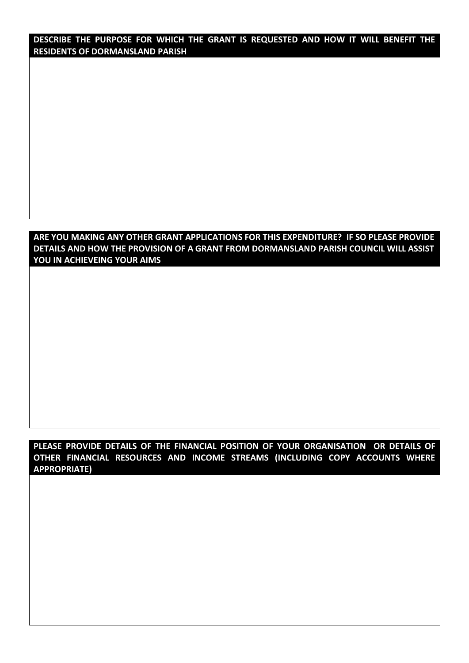**DESCRIBE THE PURPOSE FOR WHICH THE GRANT IS REQUESTED AND HOW IT WILL BENEFIT THE RESIDENTS OF DORMANSLAND PARISH**

### **ARE YOU MAKING ANY OTHER GRANT APPLICATIONS FOR THIS EXPENDITURE? IF SO PLEASE PROVIDE DETAILS AND HOW THE PROVISION OF A GRANT FROM DORMANSLAND PARISH COUNCIL WILL ASSIST YOU IN ACHIEVEING YOUR AIMS**

### **PLEASE PROVIDE DETAILS OF THE FINANCIAL POSITION OF YOUR ORGANISATION OR DETAILS OF OTHER FINANCIAL RESOURCES AND INCOME STREAMS (INCLUDING COPY ACCOUNTS WHERE APPROPRIATE)**